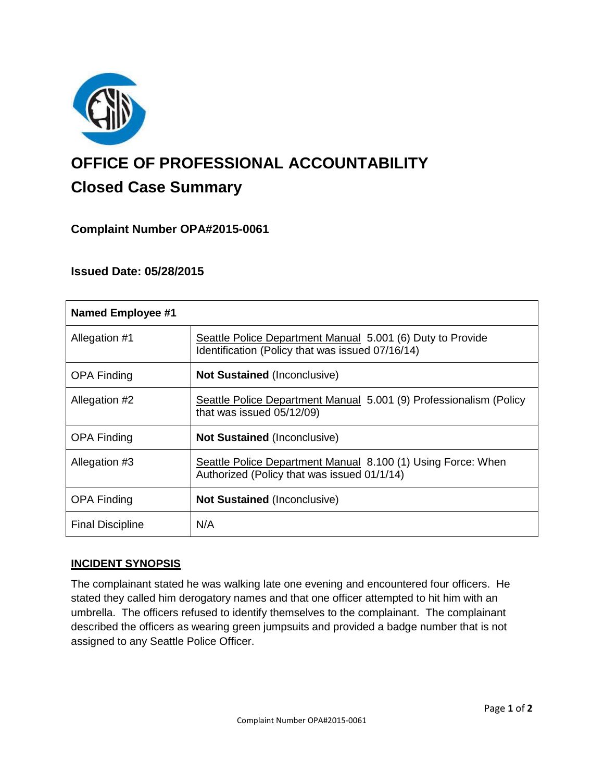

# **OFFICE OF PROFESSIONAL ACCOUNTABILITY Closed Case Summary**

## **Complaint Number OPA#2015-0061**

## **Issued Date: 05/28/2015**

| <b>Named Employee #1</b> |                                                                                                                |
|--------------------------|----------------------------------------------------------------------------------------------------------------|
| Allegation #1            | Seattle Police Department Manual 5.001 (6) Duty to Provide<br>Identification (Policy that was issued 07/16/14) |
| <b>OPA Finding</b>       | <b>Not Sustained (Inconclusive)</b>                                                                            |
| Allegation #2            | Seattle Police Department Manual 5.001 (9) Professionalism (Policy<br>that was issued 05/12/09)                |
| <b>OPA Finding</b>       | <b>Not Sustained (Inconclusive)</b>                                                                            |
| Allegation #3            | Seattle Police Department Manual 8.100 (1) Using Force: When<br>Authorized (Policy that was issued 01/1/14)    |
| <b>OPA Finding</b>       | <b>Not Sustained (Inconclusive)</b>                                                                            |
| <b>Final Discipline</b>  | N/A                                                                                                            |

## **INCIDENT SYNOPSIS**

The complainant stated he was walking late one evening and encountered four officers. He stated they called him derogatory names and that one officer attempted to hit him with an umbrella. The officers refused to identify themselves to the complainant. The complainant described the officers as wearing green jumpsuits and provided a badge number that is not assigned to any Seattle Police Officer.